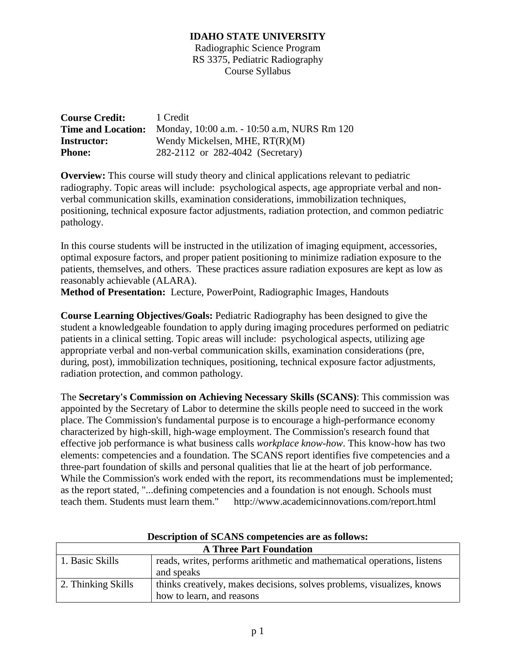Radiographic Science Program RS 3375, Pediatric Radiography Course Syllabus

| <b>Course Credit:</b> | 1 Credit                                                              |  |  |
|-----------------------|-----------------------------------------------------------------------|--|--|
|                       | <b>Time and Location:</b> Monday, 10:00 a.m. - 10:50 a.m, NURS Rm 120 |  |  |
| <b>Instructor:</b>    | Wendy Mickelsen, MHE, $RT(R)(M)$                                      |  |  |
| <b>Phone:</b>         | 282-2112 or 282-4042 (Secretary)                                      |  |  |

**Overview:** This course will study theory and clinical applications relevant to pediatric radiography. Topic areas will include: psychological aspects, age appropriate verbal and nonverbal communication skills, examination considerations, immobilization techniques, positioning, technical exposure factor adjustments, radiation protection, and common pediatric pathology.

In this course students will be instructed in the utilization of imaging equipment, accessories, optimal exposure factors, and proper patient positioning to minimize radiation exposure to the patients, themselves, and others. These practices assure radiation exposures are kept as low as reasonably achievable (ALARA).

**Method of Presentation:** Lecture, PowerPoint, Radiographic Images, Handouts

**Course Learning Objectives/Goals:** Pediatric Radiography has been designed to give the student a knowledgeable foundation to apply during imaging procedures performed on pediatric patients in a clinical setting. Topic areas will include: psychological aspects, utilizing age appropriate verbal and non-verbal communication skills, examination considerations (pre, during, post), immobilization techniques, positioning, technical exposure factor adjustments, radiation protection, and common pathology.

The **Secretary's Commission on Achieving Necessary Skills (SCANS)**: This commission was appointed by the Secretary of Labor to determine the skills people need to succeed in the work place. The Commission's fundamental purpose is to encourage a high-performance economy characterized by high-skill, high-wage employment. The Commission's research found that effective job performance is what business calls *workplace know-how*. This know-how has two elements: competencies and a foundation. The SCANS report identifies five competencies and a three-part foundation of skills and personal qualities that lie at the heart of job performance. While the Commission's work ended with the report, its recommendations must be implemented; as the report stated, "...defining competencies and a foundation is not enough. Schools must teach them. Students must learn them." http://www.academicinnovations.com/report.html

| <b>A Three Part Foundation</b> |                                                                         |  |
|--------------------------------|-------------------------------------------------------------------------|--|
| 1. Basic Skills                | reads, writes, performs arithmetic and mathematical operations, listens |  |
|                                | and speaks                                                              |  |
| 2. Thinking Skills             | thinks creatively, makes decisions, solves problems, visualizes, knows  |  |
|                                | how to learn, and reasons                                               |  |

**Description of SCANS competencies are as follows:**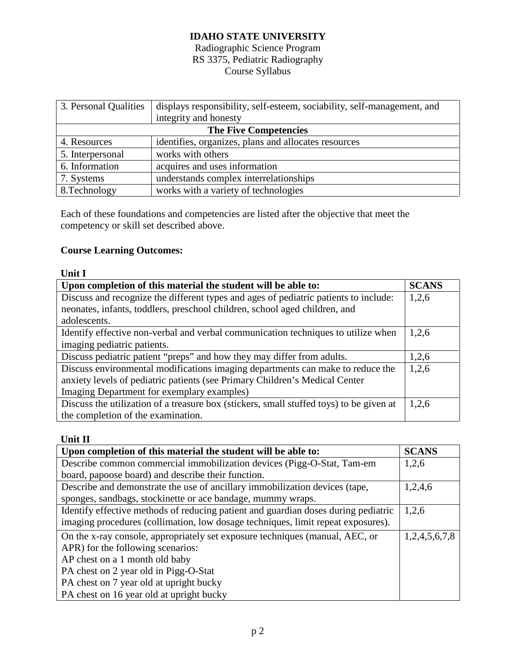### Radiographic Science Program RS 3375, Pediatric Radiography Course Syllabus

| 3. Personal Qualities        | displays responsibility, self-esteem, sociability, self-management, and |  |
|------------------------------|-------------------------------------------------------------------------|--|
|                              | integrity and honesty                                                   |  |
| <b>The Five Competencies</b> |                                                                         |  |
| 4. Resources                 | identifies, organizes, plans and allocates resources                    |  |
| 5. Interpersonal             | works with others                                                       |  |
| 6. Information               | acquires and uses information                                           |  |
| 7. Systems                   | understands complex interrelationships                                  |  |
| 8. Technology                | works with a variety of technologies                                    |  |

Each of these foundations and competencies are listed after the objective that meet the competency or skill set described above.

# **Course Learning Outcomes:**

| <b>Unit I</b>                                                                           |  |
|-----------------------------------------------------------------------------------------|--|
| Upon completion of this material the student will be able to:                           |  |
| Discuss and recognize the different types and ages of pediatric patients to include:    |  |
| neonates, infants, toddlers, preschool children, school aged children, and              |  |
| adolescents.                                                                            |  |
| Identify effective non-verbal and verbal communication techniques to utilize when       |  |
| imaging pediatric patients.                                                             |  |
| Discuss pediatric patient "preps" and how they may differ from adults.                  |  |
| Discuss environmental modifications imaging departments can make to reduce the          |  |
| anxiety levels of pediatric patients (see Primary Children's Medical Center             |  |
| Imaging Department for exemplary examples)                                              |  |
| Discuss the utilization of a treasure box (stickers, small stuffed toys) to be given at |  |
| the completion of the examination.                                                      |  |

## **Unit II**

| Upon completion of this material the student will be able to:                      |  |  |
|------------------------------------------------------------------------------------|--|--|
| Describe common commercial immobilization devices (Pigg-O-Stat, Tam-em             |  |  |
| board, papoose board) and describe their function.                                 |  |  |
| Describe and demonstrate the use of ancillary immobilization devices (tape,        |  |  |
| sponges, sandbags, stockinette or ace bandage, mummy wraps.                        |  |  |
| Identify effective methods of reducing patient and guardian doses during pediatric |  |  |
| imaging procedures (collimation, low dosage techniques, limit repeat exposures).   |  |  |
| On the x-ray console, appropriately set exposure techniques (manual, AEC, or       |  |  |
| APR) for the following scenarios:                                                  |  |  |
| AP chest on a 1 month old baby                                                     |  |  |
| PA chest on 2 year old in Pigg-O-Stat                                              |  |  |
| PA chest on 7 year old at upright bucky                                            |  |  |
| PA chest on 16 year old at upright bucky                                           |  |  |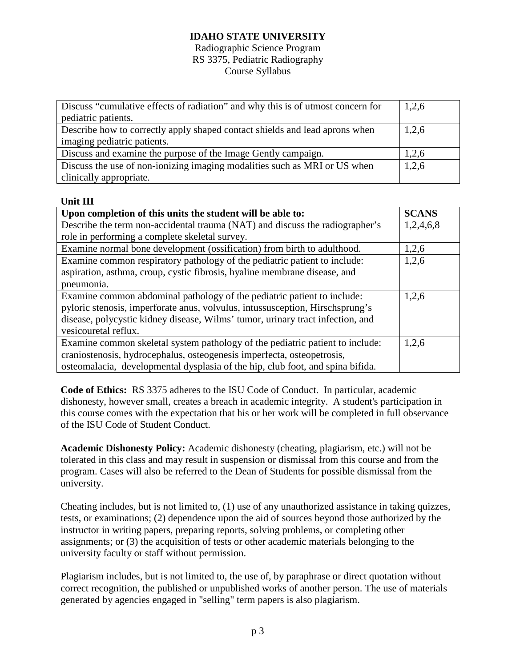#### Radiographic Science Program RS 3375, Pediatric Radiography Course Syllabus

| Discuss "cumulative effects of radiation" and why this is of utmost concern for | 1,2,6 |
|---------------------------------------------------------------------------------|-------|
| pediatric patients.                                                             |       |
| Describe how to correctly apply shaped contact shields and lead aprons when     | 1,2,6 |
| imaging pediatric patients.                                                     |       |
| Discuss and examine the purpose of the Image Gently campaign.                   | 1,2,6 |
| Discuss the use of non-ionizing imaging modalities such as MRI or US when       | 1,2,6 |
| clinically appropriate.                                                         |       |

### **Unit III**

| Upon completion of this units the student will be able to:                     | <b>SCANS</b> |
|--------------------------------------------------------------------------------|--------------|
| Describe the term non-accidental trauma (NAT) and discuss the radiographer's   | 1,2,4,6,8    |
| role in performing a complete skeletal survey.                                 |              |
| Examine normal bone development (ossification) from birth to adulthood.        | 1,2,6        |
| Examine common respiratory pathology of the pediatric patient to include:      | 1,2,6        |
| aspiration, asthma, croup, cystic fibrosis, hyaline membrane disease, and      |              |
| pneumonia.                                                                     |              |
| Examine common abdominal pathology of the pediatric patient to include:        | 1,2,6        |
| pyloric stenosis, imperforate anus, volvulus, intussusception, Hirschsprung's  |              |
| disease, polycystic kidney disease, Wilms' tumor, urinary tract infection, and |              |
| vesicouretal reflux.                                                           |              |
| Examine common skeletal system pathology of the pediatric patient to include:  | 1,2,6        |
| craniostenosis, hydrocephalus, osteogenesis imperfecta, osteopetrosis,         |              |
| osteomalacia, developmental dysplasia of the hip, club foot, and spina bifida. |              |

**Code of Ethics:** RS 3375 adheres to the ISU Code of Conduct. In particular, academic dishonesty, however small, creates a breach in academic integrity. A student's participation in this course comes with the expectation that his or her work will be completed in full observance of the ISU Code of Student Conduct.

**Academic Dishonesty Policy:** Academic dishonesty (cheating, plagiarism, etc.) will not be tolerated in this class and may result in suspension or dismissal from this course and from the program. Cases will also be referred to the Dean of Students for possible dismissal from the university.

Cheating includes, but is not limited to, (1) use of any unauthorized assistance in taking quizzes, tests, or examinations; (2) dependence upon the aid of sources beyond those authorized by the instructor in writing papers, preparing reports, solving problems, or completing other assignments; or (3) the acquisition of tests or other academic materials belonging to the university faculty or staff without permission.

Plagiarism includes, but is not limited to, the use of, by paraphrase or direct quotation without correct recognition, the published or unpublished works of another person. The use of materials generated by agencies engaged in "selling" term papers is also plagiarism.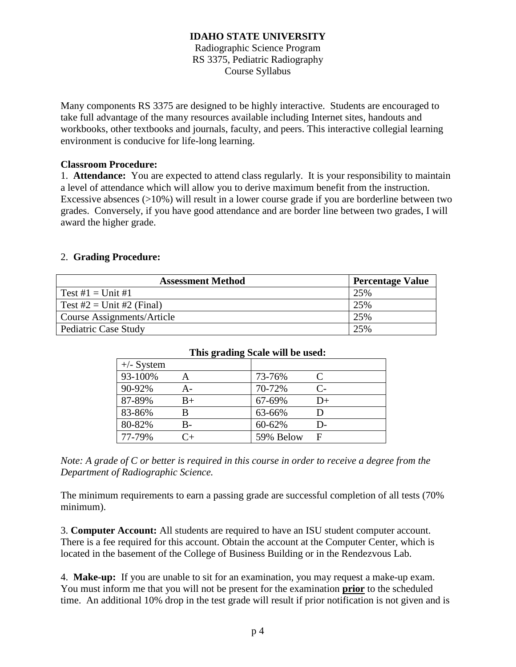Radiographic Science Program RS 3375, Pediatric Radiography Course Syllabus

Many components RS 3375 are designed to be highly interactive. Students are encouraged to take full advantage of the many resources available including Internet sites, handouts and workbooks, other textbooks and journals, faculty, and peers. This interactive collegial learning environment is conducive for life-long learning.

#### **Classroom Procedure:**

1. **Attendance:** You are expected to attend class regularly. It is your responsibility to maintain a level of attendance which will allow you to derive maximum benefit from the instruction. Excessive absences (>10%) will result in a lower course grade if you are borderline between two grades. Conversely, if you have good attendance and are border line between two grades, I will award the higher grade.

### 2. **Grading Procedure:**

| <b>Assessment Method</b>   | <b>Percentage Value</b> |
|----------------------------|-------------------------|
| Test $\#1 =$ Unit $\#1$    | 25%                     |
| Test #2 = Unit #2 (Final)  | 25%                     |
| Course Assignments/Article | 25%                     |
| Pediatric Case Study       | 25%                     |

| This grading scale will be used. |       |           |              |
|----------------------------------|-------|-----------|--------------|
| $+\!$ - System                   |       |           |              |
| 93-100%                          |       | 73-76%    |              |
| 90-92%                           | $A -$ | 70-72%    | $\mathsf{C}$ |
| 87-89%                           | B+    | 67-69%    | $D+$         |
| 83-86%                           |       | 63-66%    | D            |
| 80-82%                           | B-    | 60-62%    | D-           |
| 77-79%                           |       | 59% Below | F            |

#### **This grading Scale will be used:**

*Note: A grade of C or better is required in this course in order to receive a degree from the Department of Radiographic Science.*

The minimum requirements to earn a passing grade are successful completion of all tests (70% minimum).

3. **Computer Account:** All students are required to have an ISU student computer account. There is a fee required for this account. Obtain the account at the Computer Center, which is located in the basement of the College of Business Building or in the Rendezvous Lab.

4. **Make-up:** If you are unable to sit for an examination, you may request a make-up exam. You must inform me that you will not be present for the examination **prior** to the scheduled time. An additional 10% drop in the test grade will result if prior notification is not given and is